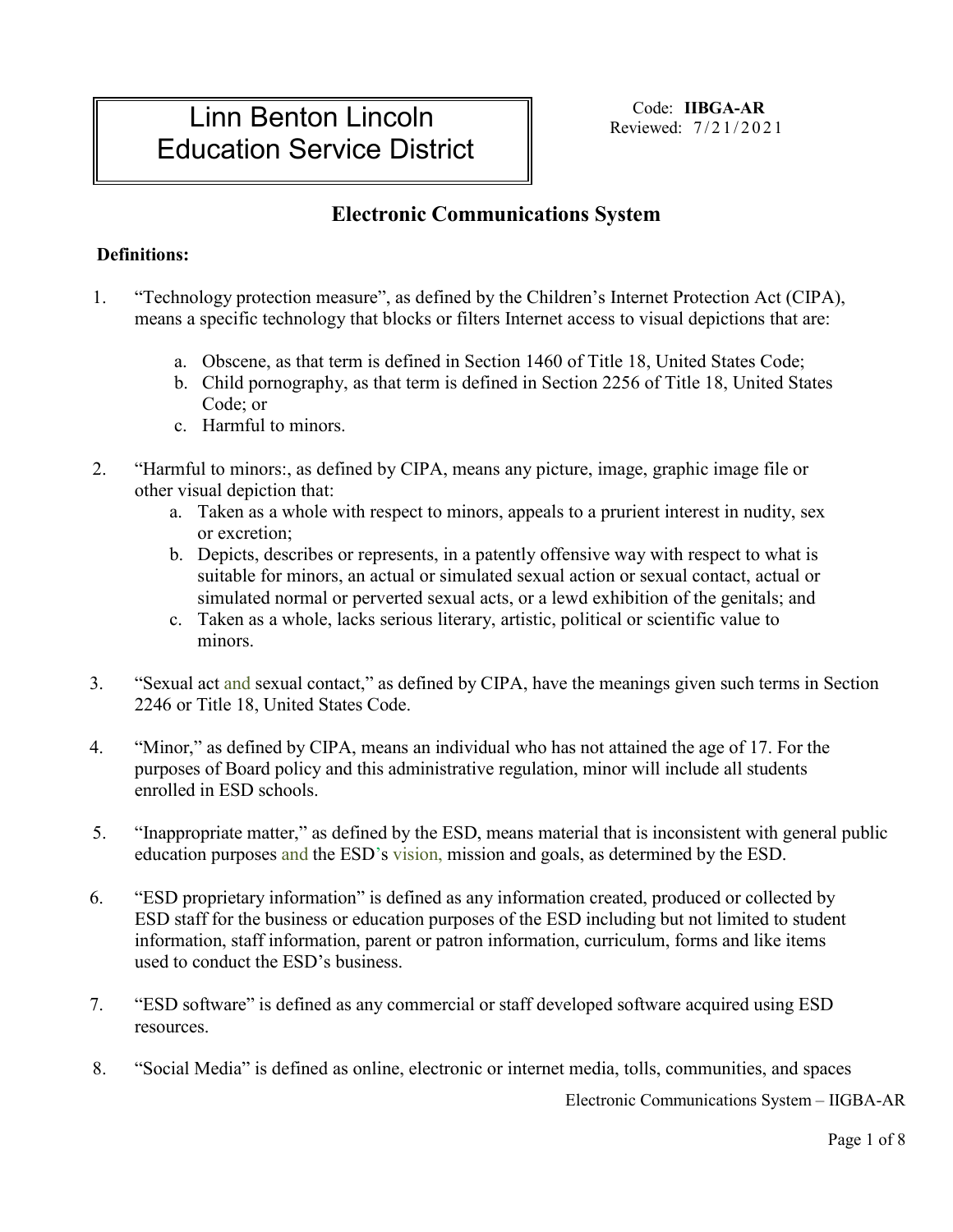# Linn Benton Lincoln Education Service District

Code: **IIBGA-AR** Reviewed: 7 /21/2021

### **Electronic Communications System**

#### **Definitions:**

- 1. "Technology protection measure", as defined by the Children's Internet Protection Act (CIPA), means a specific technology that blocks or filters Internet access to visual depictions that are:
	- a. Obscene, as that term is defined in Section 1460 of Title 18, United States Code;
	- b. Child pornography, as that term is defined in Section 2256 of Title 18, United States Code; or
	- c. Harmful to minors.
- 2. "Harmful to minors:, as defined by CIPA, means any picture, image, graphic image file or other visual depiction that:
	- a. Taken as a whole with respect to minors, appeals to a prurient interest in nudity, sex or excretion;
	- b. Depicts, describes or represents, in a patently offensive way with respect to what is suitable for minors, an actual or simulated sexual action or sexual contact, actual or simulated normal or perverted sexual acts, or a lewd exhibition of the genitals; and
	- c. Taken as a whole, lacks serious literary, artistic, political or scientific value to minors.
- 3. "Sexual act and sexual contact," as defined by CIPA, have the meanings given such terms in Section 2246 or Title 18, United States Code.
- 4. "Minor," as defined by CIPA, means an individual who has not attained the age of 17. For the purposes of Board policy and this administrative regulation, minor will include all students enrolled in ESD schools.
- 5. "Inappropriate matter," as defined by the ESD, means material that is inconsistent with general public education purposes and the ESD's vision, mission and goals, as determined by the ESD.
- 6. "ESD proprietary information" is defined as any information created, produced or collected by ESD staff for the business or education purposes of the ESD including but not limited to student information, staff information, parent or patron information, curriculum, forms and like items used to conduct the ESD's business.
- 7. "ESD software" is defined as any commercial or staff developed software acquired using ESD resources.
- 8. "Social Media" is defined as online, electronic or internet media, tolls, communities, and spaces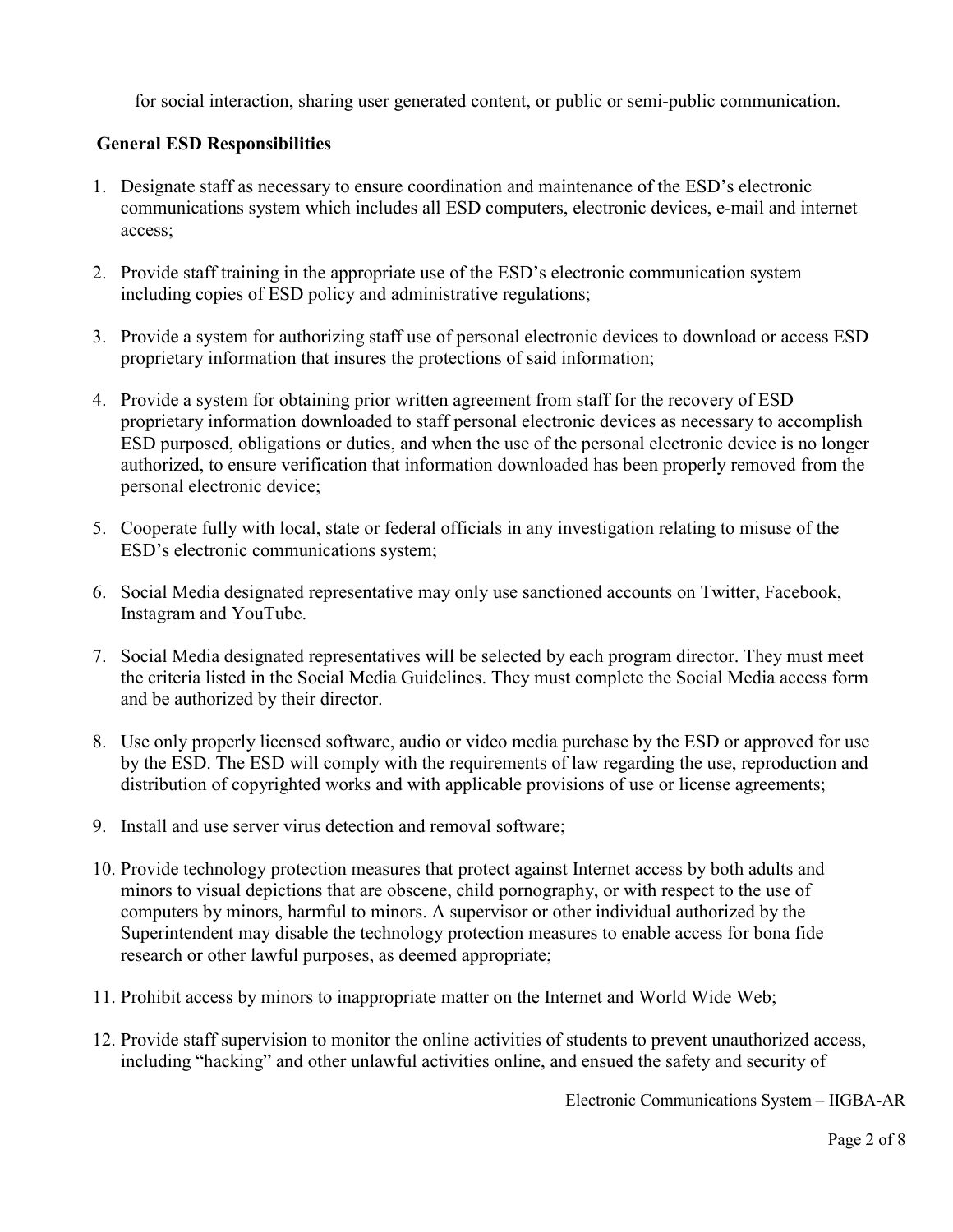for social interaction, sharing user generated content, or public or semi-public communication.

#### **General ESD Responsibilities**

- 1. Designate staff as necessary to ensure coordination and maintenance of the ESD's electronic communications system which includes all ESD computers, electronic devices, e-mail and internet access;
- 2. Provide staff training in the appropriate use of the ESD's electronic communication system including copies of ESD policy and administrative regulations;
- 3. Provide a system for authorizing staff use of personal electronic devices to download or access ESD proprietary information that insures the protections of said information;
- 4. Provide a system for obtaining prior written agreement from staff for the recovery of ESD proprietary information downloaded to staff personal electronic devices as necessary to accomplish ESD purposed, obligations or duties, and when the use of the personal electronic device is no longer authorized, to ensure verification that information downloaded has been properly removed from the personal electronic device;
- 5. Cooperate fully with local, state or federal officials in any investigation relating to misuse of the ESD's electronic communications system;
- 6. Social Media designated representative may only use sanctioned accounts on Twitter, Facebook, Instagram and YouTube.
- 7. Social Media designated representatives will be selected by each program director. They must meet the criteria listed in the Social Media Guidelines. They must complete the Social Media access form and be authorized by their director.
- 8. Use only properly licensed software, audio or video media purchase by the ESD or approved for use by the ESD. The ESD will comply with the requirements of law regarding the use, reproduction and distribution of copyrighted works and with applicable provisions of use or license agreements;
- 9. Install and use server virus detection and removal software;
- 10. Provide technology protection measures that protect against Internet access by both adults and minors to visual depictions that are obscene, child pornography, or with respect to the use of computers by minors, harmful to minors. A supervisor or other individual authorized by the Superintendent may disable the technology protection measures to enable access for bona fide research or other lawful purposes, as deemed appropriate;
- 11. Prohibit access by minors to inappropriate matter on the Internet and World Wide Web;
- 12. Provide staff supervision to monitor the online activities of students to prevent unauthorized access, including "hacking" and other unlawful activities online, and ensued the safety and security of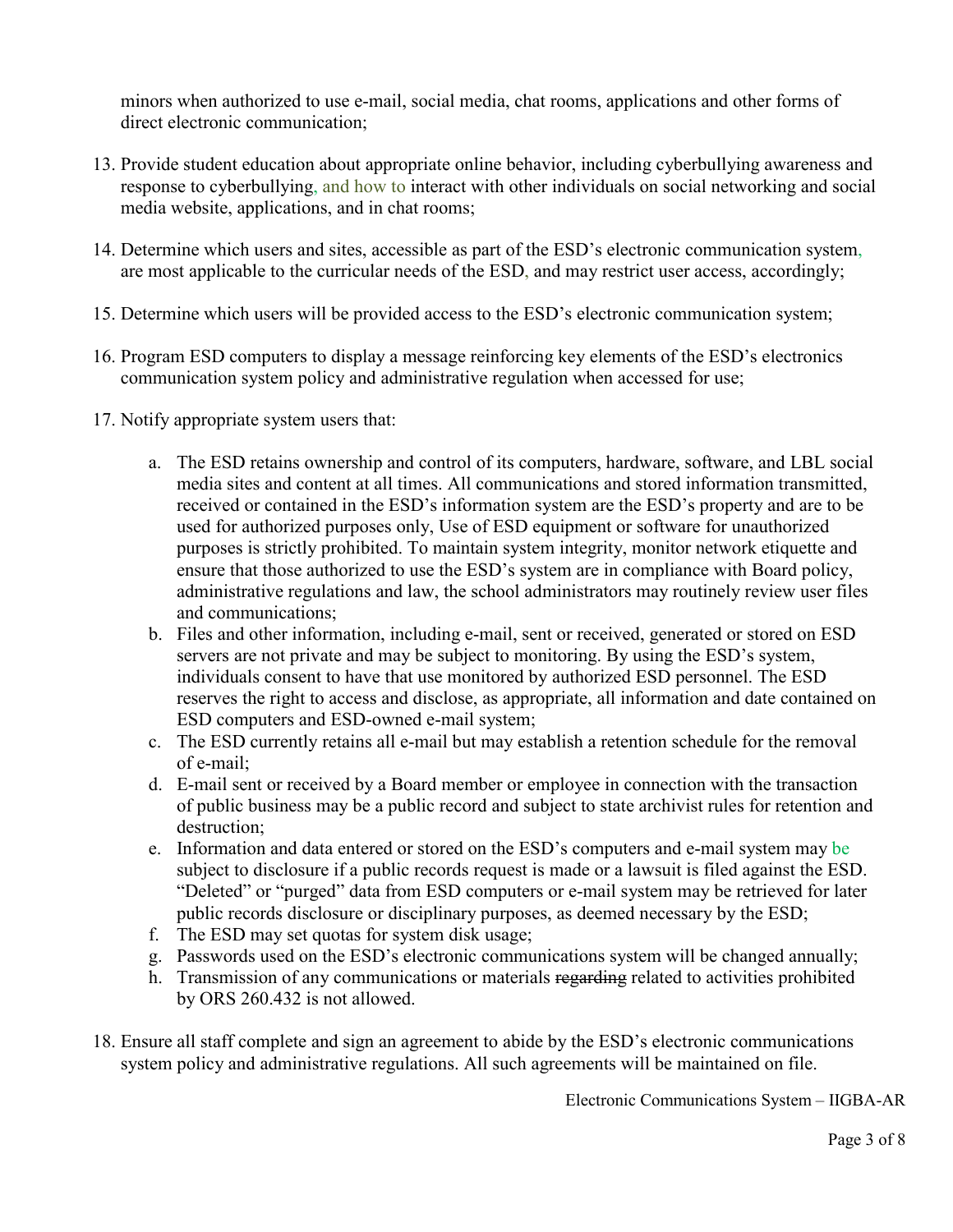minors when authorized to use e-mail, social media, chat rooms, applications and other forms of direct electronic communication;

- 13. Provide student education about appropriate online behavior, including cyberbullying awareness and response to cyberbullying, and how to interact with other individuals on social networking and social media website, applications, and in chat rooms;
- 14. Determine which users and sites, accessible as part of the ESD's electronic communication system, are most applicable to the curricular needs of the ESD, and may restrict user access, accordingly;
- 15. Determine which users will be provided access to the ESD's electronic communication system;
- 16. Program ESD computers to display a message reinforcing key elements of the ESD's electronics communication system policy and administrative regulation when accessed for use;
- 17. Notify appropriate system users that:
	- a. The ESD retains ownership and control of its computers, hardware, software, and LBL social media sites and content at all times. All communications and stored information transmitted, received or contained in the ESD's information system are the ESD's property and are to be used for authorized purposes only, Use of ESD equipment or software for unauthorized purposes is strictly prohibited. To maintain system integrity, monitor network etiquette and ensure that those authorized to use the ESD's system are in compliance with Board policy, administrative regulations and law, the school administrators may routinely review user files and communications;
	- b. Files and other information, including e-mail, sent or received, generated or stored on ESD servers are not private and may be subject to monitoring. By using the ESD's system, individuals consent to have that use monitored by authorized ESD personnel. The ESD reserves the right to access and disclose, as appropriate, all information and date contained on ESD computers and ESD-owned e-mail system;
	- c. The ESD currently retains all e-mail but may establish a retention schedule for the removal of e-mail;
	- d. E-mail sent or received by a Board member or employee in connection with the transaction of public business may be a public record and subject to state archivist rules for retention and destruction;
	- e. Information and data entered or stored on the ESD's computers and e-mail system may be subject to disclosure if a public records request is made or a lawsuit is filed against the ESD. "Deleted" or "purged" data from ESD computers or e-mail system may be retrieved for later public records disclosure or disciplinary purposes, as deemed necessary by the ESD;
	- f. The ESD may set quotas for system disk usage;
	- g. Passwords used on the ESD's electronic communications system will be changed annually;
	- h. Transmission of any communications or materials regarding related to activities prohibited by ORS 260.432 is not allowed.
- 18. Ensure all staff complete and sign an agreement to abide by the ESD's electronic communications system policy and administrative regulations. All such agreements will be maintained on file.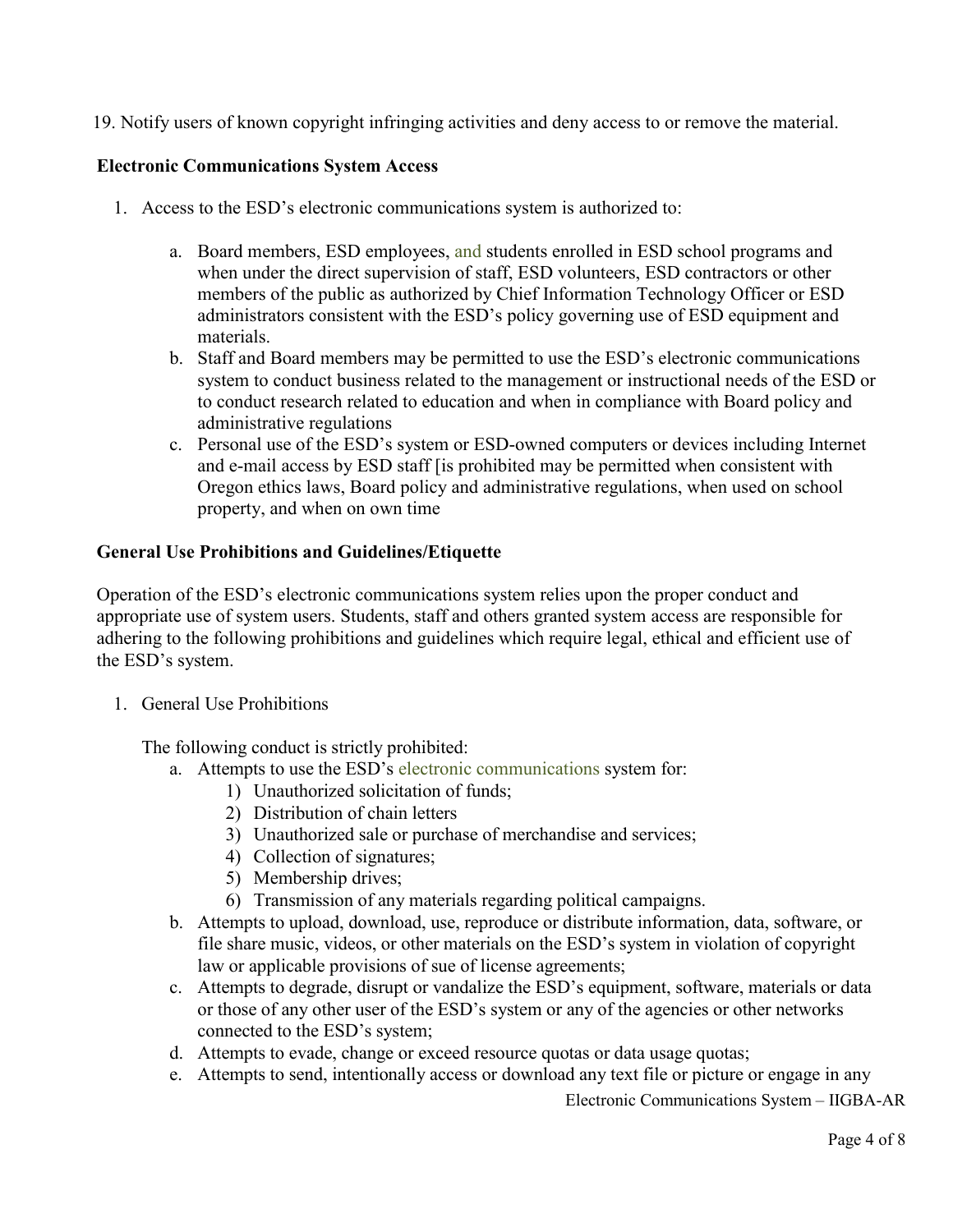19. Notify users of known copyright infringing activities and deny access to or remove the material.

#### **Electronic Communications System Access**

- 1. Access to the ESD's electronic communications system is authorized to:
	- a. Board members, ESD employees, and students enrolled in ESD school programs and when under the direct supervision of staff, ESD volunteers, ESD contractors or other members of the public as authorized by Chief Information Technology Officer or ESD administrators consistent with the ESD's policy governing use of ESD equipment and materials.
	- b. Staff and Board members may be permitted to use the ESD's electronic communications system to conduct business related to the management or instructional needs of the ESD or to conduct research related to education and when in compliance with Board policy and administrative regulations
	- c. Personal use of the ESD's system or ESD-owned computers or devices including Internet and e-mail access by ESD staff [is prohibited may be permitted when consistent with Oregon ethics laws, Board policy and administrative regulations, when used on school property, and when on own time

#### **General Use Prohibitions and Guidelines/Etiquette**

Operation of the ESD's electronic communications system relies upon the proper conduct and appropriate use of system users. Students, staff and others granted system access are responsible for adhering to the following prohibitions and guidelines which require legal, ethical and efficient use of the ESD's system.

1. General Use Prohibitions

The following conduct is strictly prohibited:

- a. Attempts to use the ESD's electronic communications system for:
	- 1) Unauthorized solicitation of funds;
	- 2) Distribution of chain letters
	- 3) Unauthorized sale or purchase of merchandise and services;
	- 4) Collection of signatures;
	- 5) Membership drives;
	- 6) Transmission of any materials regarding political campaigns.
- b. Attempts to upload, download, use, reproduce or distribute information, data, software, or file share music, videos, or other materials on the ESD's system in violation of copyright law or applicable provisions of sue of license agreements;
- c. Attempts to degrade, disrupt or vandalize the ESD's equipment, software, materials or data or those of any other user of the ESD's system or any of the agencies or other networks connected to the ESD's system;
- d. Attempts to evade, change or exceed resource quotas or data usage quotas;
- e. Attempts to send, intentionally access or download any text file or picture or engage in any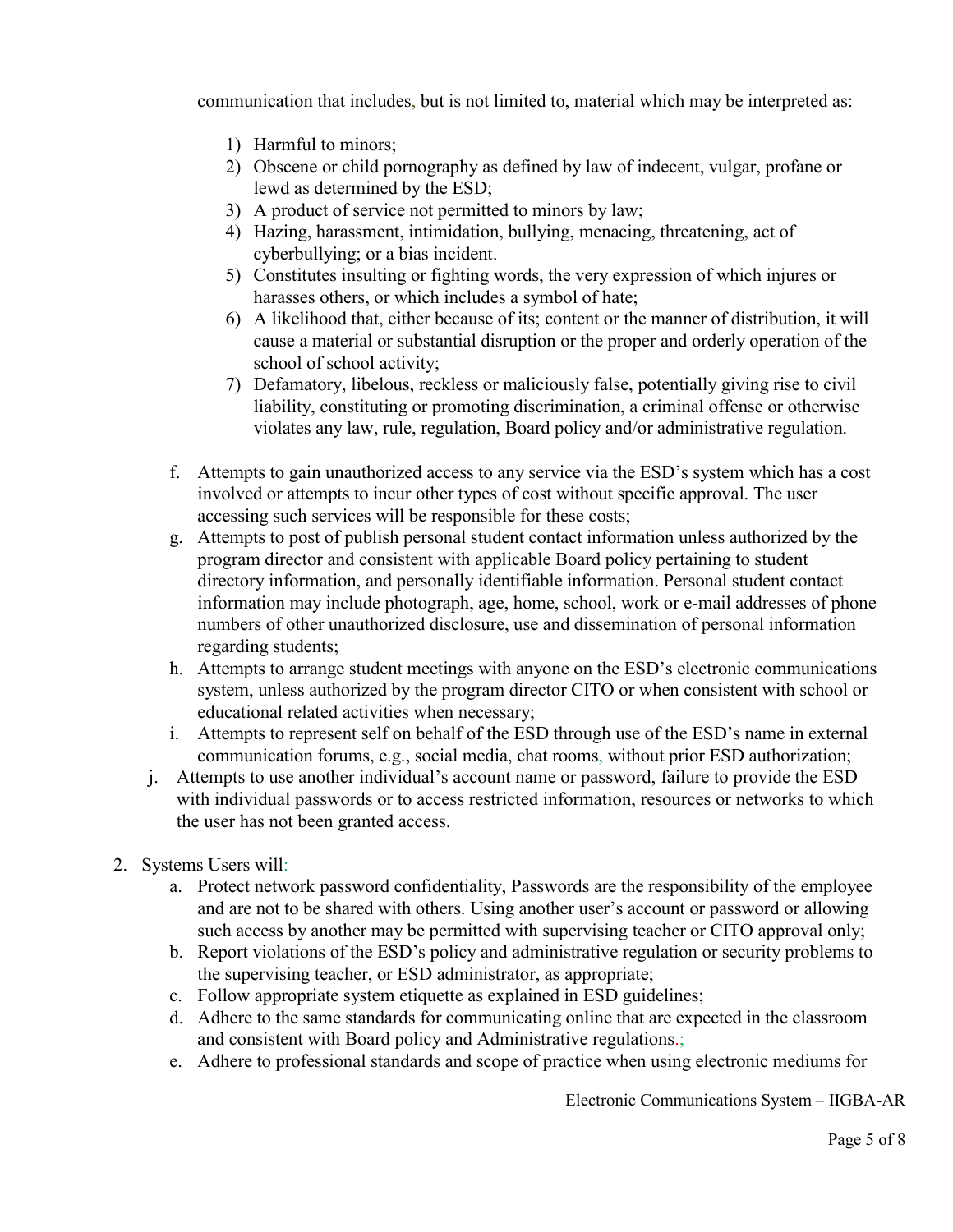communication that includes, but is not limited to, material which may be interpreted as:

- 1) Harmful to minors;
- 2) Obscene or child pornography as defined by law of indecent, vulgar, profane or lewd as determined by the ESD;
- 3) A product of service not permitted to minors by law;
- 4) Hazing, harassment, intimidation, bullying, menacing, threatening, act of cyberbullying; or a bias incident.
- 5) Constitutes insulting or fighting words, the very expression of which injures or harasses others, or which includes a symbol of hate;
- 6) A likelihood that, either because of its; content or the manner of distribution, it will cause a material or substantial disruption or the proper and orderly operation of the school of school activity;
- 7) Defamatory, libelous, reckless or maliciously false, potentially giving rise to civil liability, constituting or promoting discrimination, a criminal offense or otherwise violates any law, rule, regulation, Board policy and/or administrative regulation.
- f. Attempts to gain unauthorized access to any service via the ESD's system which has a cost involved or attempts to incur other types of cost without specific approval. The user accessing such services will be responsible for these costs;
- g. Attempts to post of publish personal student contact information unless authorized by the program director and consistent with applicable Board policy pertaining to student directory information, and personally identifiable information. Personal student contact information may include photograph, age, home, school, work or e-mail addresses of phone numbers of other unauthorized disclosure, use and dissemination of personal information regarding students;
- h. Attempts to arrange student meetings with anyone on the ESD's electronic communications system, unless authorized by the program director CITO or when consistent with school or educational related activities when necessary;
- i. Attempts to represent self on behalf of the ESD through use of the ESD's name in external communication forums, e.g., social media, chat rooms, without prior ESD authorization;
- j. Attempts to use another individual's account name or password, failure to provide the ESD with individual passwords or to access restricted information, resources or networks to which the user has not been granted access.
- 2. Systems Users will:
	- a. Protect network password confidentiality, Passwords are the responsibility of the employee and are not to be shared with others. Using another user's account or password or allowing such access by another may be permitted with supervising teacher or CITO approval only;
	- b. Report violations of the ESD's policy and administrative regulation or security problems to the supervising teacher, or ESD administrator, as appropriate;
	- c. Follow appropriate system etiquette as explained in ESD guidelines;
	- d. Adhere to the same standards for communicating online that are expected in the classroom and consistent with Board policy and Administrative regulations.;
	- e. Adhere to professional standards and scope of practice when using electronic mediums for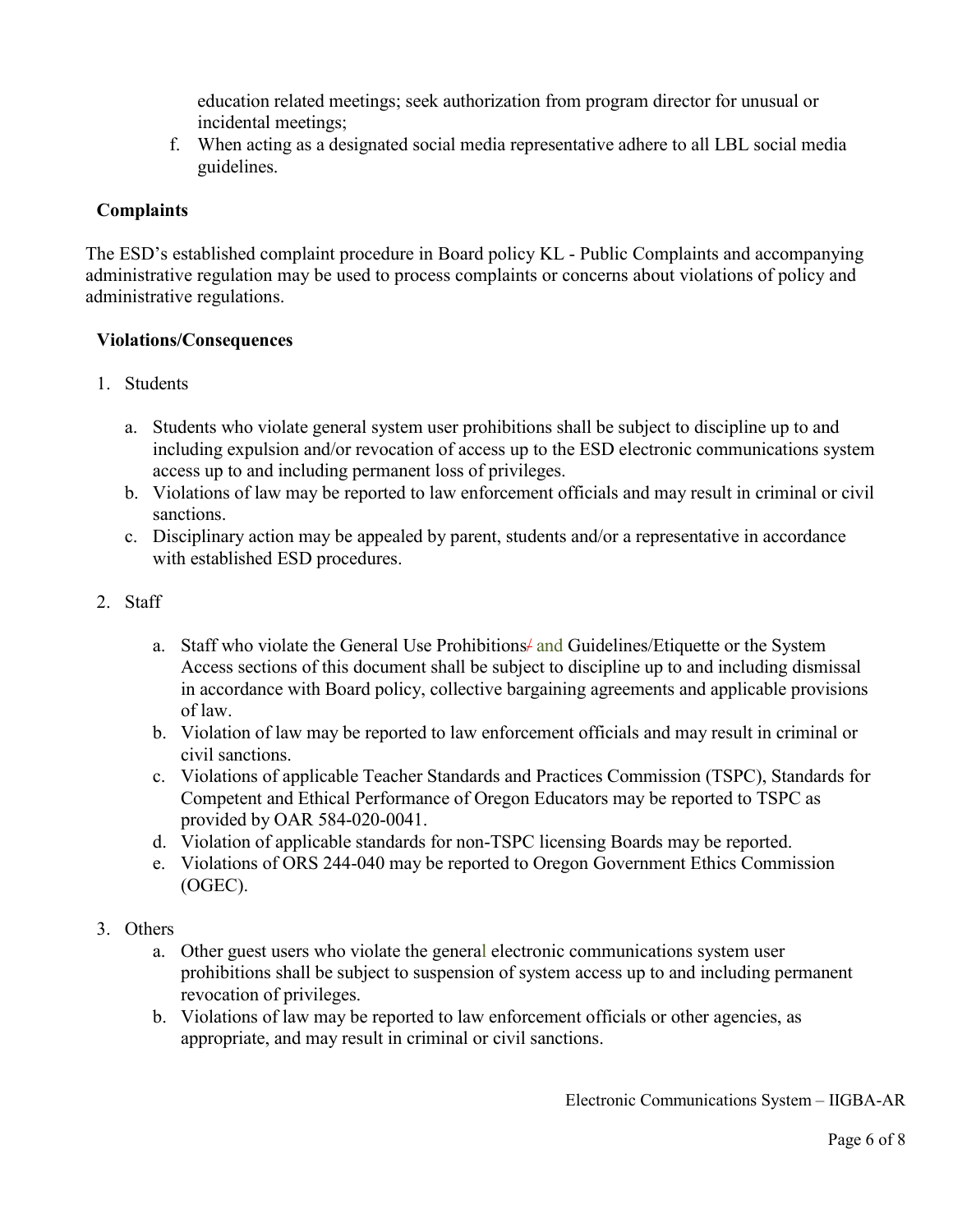education related meetings; seek authorization from program director for unusual or incidental meetings;

f. When acting as a designated social media representative adhere to all LBL social media guidelines.

#### **Complaints**

The ESD's established complaint procedure in Board policy KL - Public Complaints and accompanying administrative regulation may be used to process complaints or concerns about violations of policy and administrative regulations.

#### **Violations/Consequences**

- 1. Students
	- a. Students who violate general system user prohibitions shall be subject to discipline up to and including expulsion and/or revocation of access up to the ESD electronic communications system access up to and including permanent loss of privileges.
	- b. Violations of law may be reported to law enforcement officials and may result in criminal or civil sanctions.
	- c. Disciplinary action may be appealed by parent, students and/or a representative in accordance with established ESD procedures.

#### 2. Staff

- a. Staff who violate the General Use Prohibitions/ and Guidelines/Etiquette or the System Access sections of this document shall be subject to discipline up to and including dismissal in accordance with Board policy, collective bargaining agreements and applicable provisions of law.
- b. Violation of law may be reported to law enforcement officials and may result in criminal or civil sanctions.
- c. Violations of applicable Teacher Standards and Practices Commission (TSPC), Standards for Competent and Ethical Performance of Oregon Educators may be reported to TSPC as provided by OAR 584-020-0041.
- d. Violation of applicable standards for non-TSPC licensing Boards may be reported.
- e. Violations of ORS 244-040 may be reported to Oregon Government Ethics Commission (OGEC).
- 3. Others
	- a. Other guest users who violate the general electronic communications system user prohibitions shall be subject to suspension of system access up to and including permanent revocation of privileges.
	- b. Violations of law may be reported to law enforcement officials or other agencies, as appropriate, and may result in criminal or civil sanctions.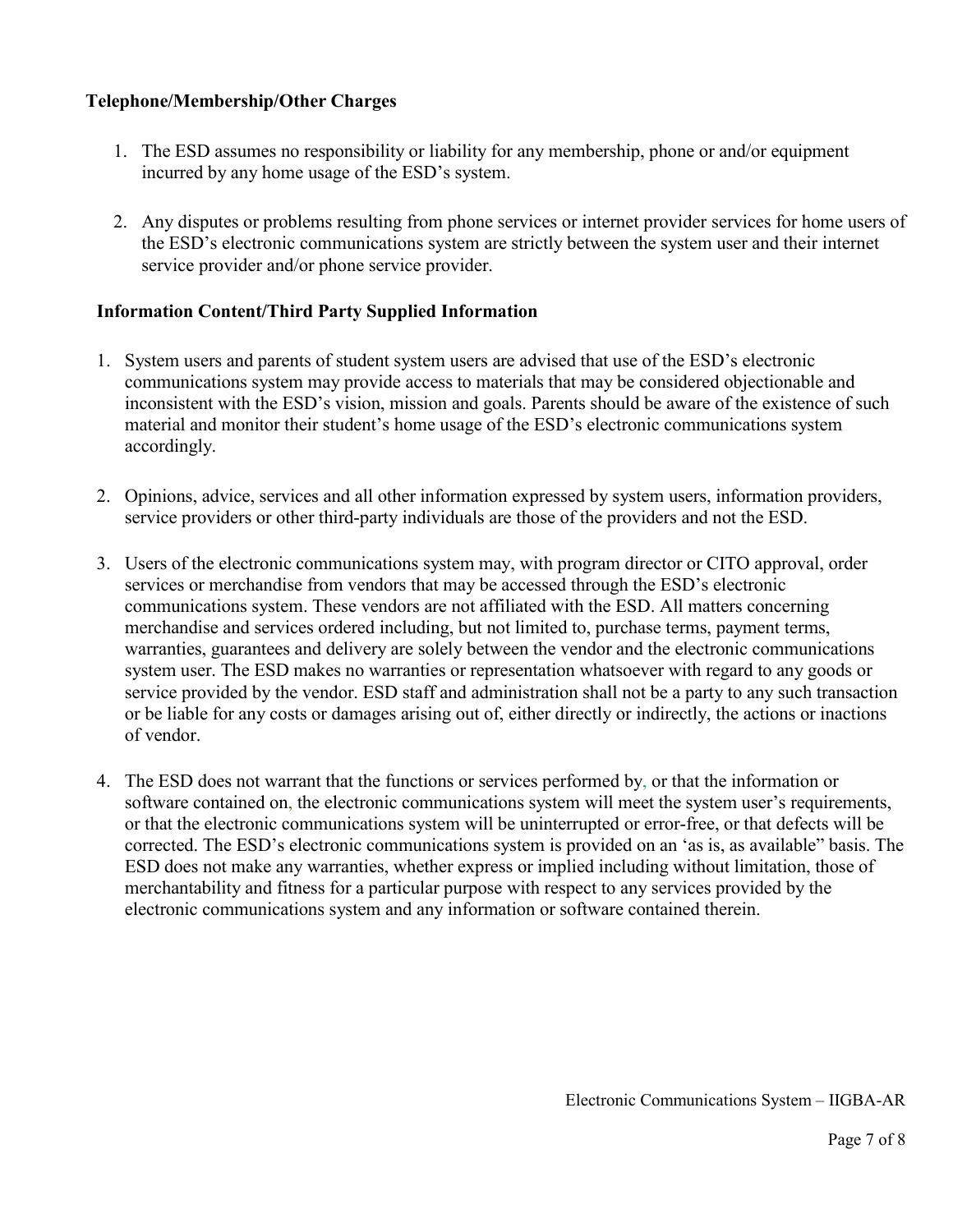#### **Telephone/Membership/Other Charges**

- 1. The ESD assumes no responsibility or liability for any membership, phone or and/or equipment incurred by any home usage of the ESD's system.
- 2. Any disputes or problems resulting from phone services or internet provider services for home users of the ESD's electronic communications system are strictly between the system user and their internet service provider and/or phone service provider.

#### **Information Content/Third Party Supplied Information**

- 1. System users and parents of student system users are advised that use of the ESD's electronic communications system may provide access to materials that may be considered objectionable and inconsistent with the ESD's vision, mission and goals. Parents should be aware of the existence of such material and monitor their student's home usage of the ESD's electronic communications system accordingly.
- 2. Opinions, advice, services and all other information expressed by system users, information providers, service providers or other third-party individuals are those of the providers and not the ESD.
- 3. Users of the electronic communications system may, with program director or CITO approval, order services or merchandise from vendors that may be accessed through the ESD's electronic communications system. These vendors are not affiliated with the ESD. All matters concerning merchandise and services ordered including, but not limited to, purchase terms, payment terms, warranties, guarantees and delivery are solely between the vendor and the electronic communications system user. The ESD makes no warranties or representation whatsoever with regard to any goods or service provided by the vendor. ESD staff and administration shall not be a party to any such transaction or be liable for any costs or damages arising out of, either directly or indirectly, the actions or inactions of vendor.
- 4. The ESD does not warrant that the functions or services performed by, or that the information or software contained on, the electronic communications system will meet the system user's requirements, or that the electronic communications system will be uninterrupted or error-free, or that defects will be corrected. The ESD's electronic communications system is provided on an 'as is, as available" basis. The ESD does not make any warranties, whether express or implied including without limitation, those of merchantability and fitness for a particular purpose with respect to any services provided by the electronic communications system and any information or software contained therein.